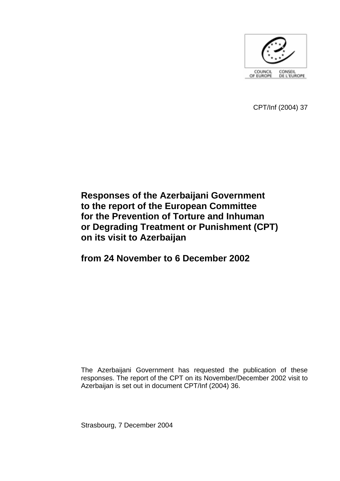

CPT/Inf (2004) 37

# **Responses of the Azerbaijani Government to the report of the European Committee for the Prevention of Torture and Inhuman or Degrading Treatment or Punishment (CPT) on its visit to Azerbaijan**

# **from 24 November to 6 December 2002**

The Azerbaijani Government has requested the publication of these responses. The report of the CPT on its November/December 2002 visit to Azerbaijan is set out in document CPT/Inf (2004) 36.

Strasbourg, 7 December 2004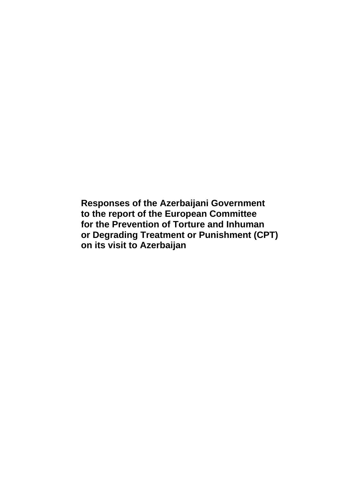**Responses of the Azerbaijani Government to the report of the European Committee for the Prevention of Torture and Inhuman or Degrading Treatment or Punishment (CPT) on its visit to Azerbaijan**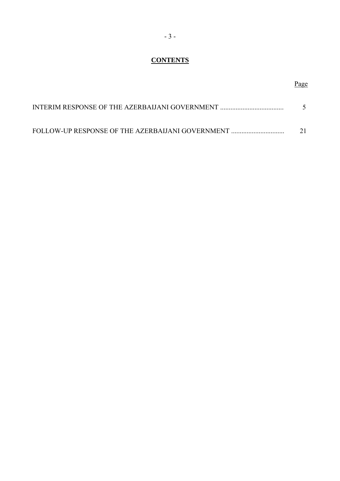# **CONTENTS**

# INTERIM RESPONSE OF THE AZERBAIJANI GOVERNMENT ..................................... 5 FOLLOW-UP RESPONSE OF THE AZERBAIJANI GOVERNMENT ............................... 21

Page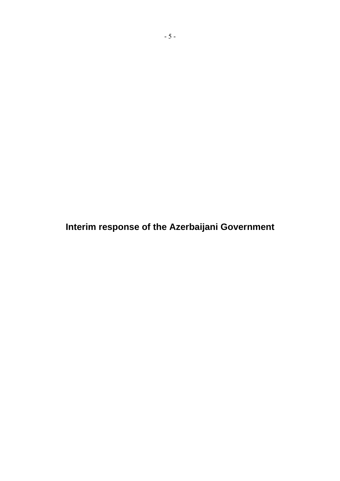**Interim response of the Azerbaijani Government**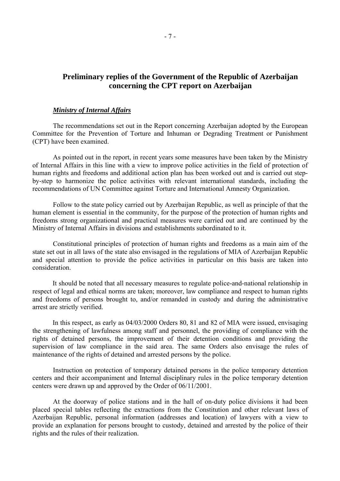# **Preliminary replies of the Government of the Republic of Azerbaijan concerning the CPT report on Azerbaijan**

#### *Ministry of Internal Affairs*

The recommendations set out in the Report concerning Azerbaijan adopted by the European Committee for the Prevention of Torture and Inhuman or Degrading Treatment or Punishment (CPT) have been examined.

As pointed out in the report, in recent years some measures have been taken by the Ministry of Internal Affairs in this line with a view to improve police activities in the field of protection of human rights and freedoms and additional action plan has been worked out and is carried out stepby-step to harmonize the police activities with relevant international standards, including the recommendations of UN Committee against Torture and International Amnesty Organization.

Follow to the state policy carried out by Azerbaijan Republic, as well as principle of that the human element is essential in the community, for the purpose of the protection of human rights and freedoms strong organizational and practical measures were carried out and are continued by the Ministry of Internal Affairs in divisions and establishments subordinated to it.

Constitutional principles of protection of human rights and freedoms as a main aim of the state set out in all laws of the state also envisaged in the regulations of MIA of Azerbaijan Republic and special attention to provide the police activities in particular on this basis are taken into consideration.

It should be noted that all necessary measures to regulate police-and-national relationship in respect of legal and ethical norms are taken; moreover, law compliance and respect to human rights and freedoms of persons brought to, and/or remanded in custody and during the administrative arrest are strictly verified.

In this respect, as early as 04/03/2000 Orders 80, 81 and 82 of MIA were issued, envisaging the strengthening of lawfulness among staff and personnel, the providing of compliance with the rights of detained persons, the improvement of their detention conditions and providing the supervision of law compliance in the said area. The same Orders also envisage the rules of maintenance of the rights of detained and arrested persons by the police.

 Instruction on protection of temporary detained persons in the police temporary detention centers and their accompaniment and Internal disciplinary rules in the police temporary detention centers were drawn up and approved by the Order of 06/11/2001.

At the doorway of police stations and in the hall of on-duty police divisions it had been placed special tables reflecting the extractions from the Constitution and other relevant laws of Azerbaijan Republic, personal information (addresses and location) of lawyers with a view to provide an explanation for persons brought to custody, detained and arrested by the police of their rights and the rules of their realization.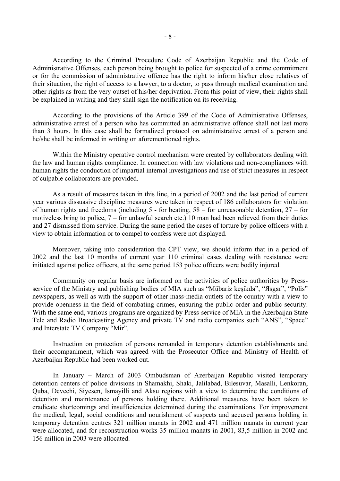According to the Criminal Procedure Code of Azerbaijan Republic and the Code of Administrative Offenses, each person being brought to police for suspected of a crime commitment or for the commission of administrative offence has the right to inform his/her close relatives of their situation, the right of access to a lawyer, to a doctor, to pass through medical examination and other rights as from the very outset of his/her deprivation. From this point of view, their rights shall be explained in writing and they shall sign the notification on its receiving.

According to the provisions of the Article 399 of the Code of Administrative Offenses, administrative arrest of a person who has committed an administrative offence shall not last more than 3 hours. In this case shall be formalized protocol on administrative arrest of a person and he/she shall be informed in writing on aforementioned rights.

Within the Ministry operative control mechanism were created by collaborators dealing with the law and human rights compliance. In connection with law violations and non-compliances with human rights the conduction of impartial internal investigations and use of strict measures in respect of culpable collaborators are provided.

As a result of measures taken in this line, in a period of 2002 and the last period of current year various dissuasive discipline measures were taken in respect of 186 collaborators for violation of human rights and freedoms (including  $5 -$  for beating,  $58 -$  for unreasonable detention,  $27 -$  for motiveless bring to police,  $7 -$  for unlawful search etc.) 10 man had been relieved from their duties and 27 dismissed from service. During the same period the cases of torture by police officers with a view to obtain information or to compel to confess were not displayed.

Moreover, taking into consideration the CPT view, we should inform that in a period of 2002 and the last 10 months of current year 110 criminal cases dealing with resistance were initiated against police officers, at the same period 153 police officers were bodily injured.

Community on regular basis are informed on the activities of police authorities by Pressservice of the Ministry and publishing bodies of MIA such as "Mübariz keşikda", "Asgar", "Polis" newspapers, as well as with the support of other mass-media outlets of the country with a view to provide openness in the field of combating crimes, ensuring the public order and public security. With the same end, various programs are organized by Press-service of MIA in the Azerbaijan State Tele and Radio Broadcasting Agency and private TV and radio companies such "ANS", "Space" and Interstate TV Company "Mir".

Instruction on protection of persons remanded in temporary detention establishments and their accompaniment, which was agreed with the Prosecutor Office and Ministry of Health of Azerbaijan Republic had been worked out.

In January – March of 2003 Ombudsman of Azerbaijan Republic visited temporary detention centers of police divisions in Shamakhi, Shaki, Jalilabad, Bilesuvar, Masalli, Lenkoran, Quba, Devechi, Siyesen, Ismayilli and Aksu regions with a view to determine the conditions of detention and maintenance of persons holding there. Additional measures have been taken to eradicate shortcomings and insufficiencies determined during the examinations. For improvement the medical, legal, social conditions and nourishment of suspects and accused persons holding in temporary detention centres 321 million manats in 2002 and 471 million manats in current year were allocated, and for reconstruction works 35 million manats in 2001, 83,5 million in 2002 and 156 million in 2003 were allocated.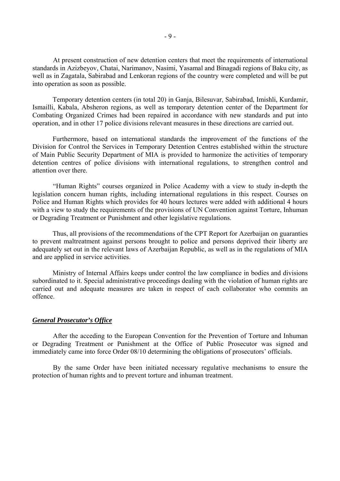At present construction of new detention centers that meet the requirements of international standards in Azizbeyov, Chatai, Narimanov, Nasimi, Yasamal and Binagadi regions of Baku city, as well as in Zagatala, Sabirabad and Lenkoran regions of the country were completed and will be put into operation as soon as possible.

Temporary detention centers (in total 20) in Ganja, Bilesuvar, Sabirabad, Imishli, Kurdamir, Ismailli, Kabala, Absheron regions, as well as temporary detention center of the Department for Combating Organized Crimes had been repaired in accordance with new standards and put into operation, and in other 17 police divisions relevant measures in these directions are carried out.

Furthermore, based on international standards the improvement of the functions of the Division for Control the Services in Temporary Detention Centres established within the structure of Main Public Security Department of MIA is provided to harmonize the activities of temporary detention centres of police divisions with international regulations, to strengthen control and attention over there.

ìHuman Rightsî courses organized in Police Academy with a view to study in-depth the legislation concern human rights, including international regulations in this respect. Courses on Police and Human Rights which provides for 40 hours lectures were added with additional 4 hours with a view to study the requirements of the provisions of UN Convention against Torture, Inhuman or Degrading Treatment or Punishment and other legislative regulations.

Thus, all provisions of the recommendations of the CPT Report for Azerbaijan on guaranties to prevent maltreatment against persons brought to police and persons deprived their liberty are adequately set out in the relevant laws of Azerbaijan Republic, as well as in the regulations of MIA and are applied in service activities.

Ministry of Internal Affairs keeps under control the law compliance in bodies and divisions subordinated to it. Special administrative proceedings dealing with the violation of human rights are carried out and adequate measures are taken in respect of each collaborator who commits an offence.

#### *General Prosecutor's Office*

After the acceding to the European Convention for the Prevention of Torture and Inhuman or Degrading Treatment or Punishment at the Office of Public Prosecutor was signed and immediately came into force Order 08/10 determining the obligations of prosecutors' officials.

 By the same Order have been initiated necessary regulative mechanisms to ensure the protection of human rights and to prevent torture and inhuman treatment.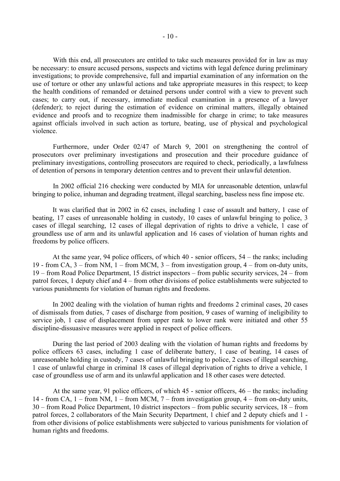With this end, all prosecutors are entitled to take such measures provided for in law as may be necessary: to ensure accused persons, suspects and victims with legal defence during preliminary investigations; to provide comprehensive, full and impartial examination of any information on the use of torture or other any unlawful actions and take appropriate measures in this respect; to keep the health conditions of remanded or detained persons under control with a view to prevent such cases; to carry out, if necessary, immediate medical examination in a presence of a lawyer (defender); to reject during the estimation of evidence on criminal matters, illegally obtained evidence and proofs and to recognize them inadmissible for charge in crime; to take measures against officials involved in such action as torture, beating, use of physical and psychological violence.

 Furthermore, under Order 02/47 of March 9, 2001 on strengthening the control of prosecutors over preliminary investigations and prosecution and their procedure guidance of preliminary investigations, controlling prosecutors are required to check, periodically, a lawfulness of detention of persons in temporary detention centres and to prevent their unlawful detention.

In 2002 official 216 checking were conducted by MIA for unreasonable detention, unlawful bringing to police, inhuman and degrading treatment, illegal searching, baseless ness fine impose etc.

It was clarified that in 2002 in 62 cases, including 1 case of assault and battery, 1 case of beating, 17 cases of unreasonable holding in custody, 10 cases of unlawful bringing to police, 3 cases of illegal searching, 12 cases of illegal deprivation of rights to drive a vehicle, 1 case of groundless use of arm and its unlawful application and 16 cases of violation of human rights and freedoms by police officers.

At the same year, 94 police officers, of which  $40$  - senior officers,  $54$  – the ranks; including 19 - from CA, 3 – from NM, 1 – from MCM, 3 – from investigation group, 4 – from on-duty units, 19 – from Road Police Department, 15 district inspectors – from public security services,  $24$  – from patrol forces, 1 deputy chief and 4 – from other divisions of police establishments were subjected to various punishments for violation of human rights and freedoms.

In 2002 dealing with the violation of human rights and freedoms 2 criminal cases, 20 cases of dismissals from duties, 7 cases of discharge from position, 9 cases of warning of ineligibility to service job, 1 case of displacement from upper rank to lower rank were initiated and other 55 discipline-dissuasive measures were applied in respect of police officers.

During the last period of 2003 dealing with the violation of human rights and freedoms by police officers 63 cases, including 1 case of deliberate battery, 1 case of beating, 14 cases of unreasonable holding in custody, 7 cases of unlawful bringing to police, 2 cases of illegal searching, 1 case of unlawful charge in criminal 18 cases of illegal deprivation of rights to drive a vehicle, 1 case of groundless use of arm and its unlawful application and 18 other cases were detected.

At the same year, 91 police officers, of which  $45$  - senior officers,  $46$  – the ranks; including 14 - from CA, 1 – from NM, 1 – from MCM, 7 – from investigation group, 4 – from on-duty units,  $30$  – from Road Police Department, 10 district inspectors – from public security services,  $18$  – from patrol forces, 2 collaborators of the Main Security Department, 1 chief and 2 deputy chiefs and 1 from other divisions of police establishments were subjected to various punishments for violation of human rights and freedoms.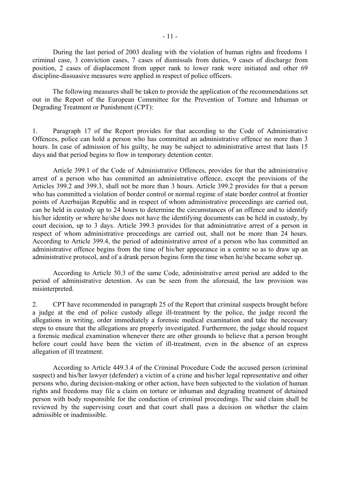During the last period of 2003 dealing with the violation of human rights and freedoms 1 criminal case, 3 conviction cases, 7 cases of dismissals from duties, 9 cases of discharge from position, 2 cases of displacement from upper rank to lower rank were initiated and other 69 discipline-dissuasive measures were applied in respect of police officers.

The following measures shall be taken to provide the application of the recommendations set out in the Report of the European Committee for the Prevention of Torture and Inhuman or Degrading Treatment or Punishment (CPT):

1. Paragraph 17 of the Report provides for that according to the Code of Administrative Offences, police can hold a person who has committed an administrative offence no more than 3 hours. In case of admission of his guilty, he may be subject to administrative arrest that lasts 15 days and that period begins to flow in temporary detention center.

 Article 399.1 of the Code of Administrative Offences, provides for that the administrative arrest of a person who has committed an administrative offence, except the provisions of the Articles 399.2 and 399.3, shall not be more than 3 hours. Article 399.2 provides for that a person who has committed a violation of border control or normal regime of state border control at frontier points of Azerbaijan Republic and in respect of whom administrative proceedings are carried out, can be held in custody up to 24 hours to determine the circumstances of an offence and to identify his/her identity or where he/she does not have the identifying documents can be held in custody, by court decision, up to 3 days. Article 399.3 provides for that administrative arrest of a person in respect of whom administrative proceedings are carried out, shall not be more than 24 hours. According to Article 399.4, the period of administrative arrest of a person who has committed an administrative offence begins from the time of his/her appearance in a centre so as to draw up an administrative protocol, and of a drank person begins form the time when he/she became sober up.

 According to Article 30.3 of the same Code, administrative arrest period are added to the period of administrative detention. As can be seen from the aforesaid, the law provision was misinterpreted.

2. CPT have recommended in paragraph 25 of the Report that criminal suspects brought before a judge at the end of police custody allege ill-treatment by the police, the judge record the allegations in writing, order immediately a forensic medical examination and take the necessary steps to ensure that the allegations are properly investigated. Furthermore, the judge should request a forensic medical examination whenever there are other grounds to believe that a person brought before court could have been the victim of ill-treatment, even in the absence of an express allegation of ill treatment.

 According to Article 449.3.4 of the Criminal Procedure Code the accused person (criminal suspect) and his/her lawyer (defender) a victim of a crime and his/her legal representative and other persons who, during decision-making or other action, have been subjected to the violation of human rights and freedoms may file a claim on torture or inhuman and degrading treatment of detained person with body responsible for the conduction of criminal proceedings. The said claim shall be reviewed by the supervising court and that court shall pass a decision on whether the claim admissible or inadmissible.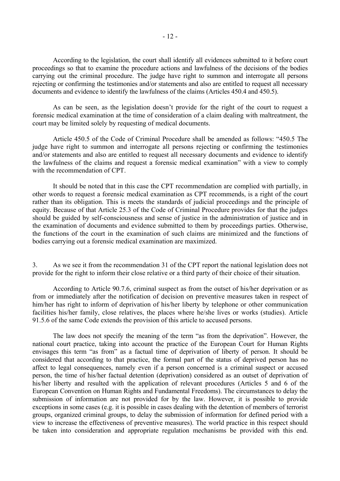According to the legislation, the court shall identify all evidences submitted to it before court proceedings so that to examine the procedure actions and lawfulness of the decisions of the bodies carrying out the criminal procedure. The judge have right to summon and interrogate all persons rejecting or confirming the testimonies and/or statements and also are entitled to request all necessary documents and evidence to identify the lawfulness of the claims (Articles 450.4 and 450.5).

As can be seen, as the legislation doesn't provide for the right of the court to request a forensic medical examination at the time of consideration of a claim dealing with maltreatment, the court may be limited solely by requesting of medical documents.

Article 450.5 of the Code of Criminal Procedure shall be amended as follows: "450.5 The judge have right to summon and interrogate all persons rejecting or confirming the testimonies and/or statements and also are entitled to request all necessary documents and evidence to identify the lawfulness of the claims and request a forensic medical examinationî with a view to comply with the recommendation of CPT.

It should be noted that in this case the CPT recommendation are complied with partially, in other words to request a forensic medical examination as CPT recommends, is a right of the court rather than its obligation. This is meets the standards of judicial proceedings and the principle of equity. Because of that Article 25.3 of the Code of Criminal Procedure provides for that the judges should be guided by self-consciousness and sense of justice in the administration of justice and in the examination of documents and evidence submitted to them by proceedings parties. Otherwise, the functions of the court in the examination of such claims are minimized and the functions of bodies carrying out a forensic medical examination are maximized.

3. As we see it from the recommendation 31 of the CPT report the national legislation does not provide for the right to inform their close relative or a third party of their choice of their situation.

According to Article 90.7.6, criminal suspect as from the outset of his/her deprivation or as from or immediately after the notification of decision on preventive measures taken in respect of him/her has right to inform of deprivation of his/her liberty by telephone or other communication facilities his/her family, close relatives, the places where he/she lives or works (studies). Article 91.5.6 of the same Code extends the provision of this article to accused persons.

The law does not specify the meaning of the term "as from the deprivation". However, the national court practice, taking into account the practice of the European Court for Human Rights envisages this term "as from" as a factual time of deprivation of liberty of person. It should be considered that according to that practice, the formal part of the status of deprived person has no affect to legal consequences, namely even if a person concerned is a criminal suspect or accused person, the time of his/her factual detention (deprivation) considered as an outset of deprivation of his/her liberty and resulted with the application of relevant procedures (Articles 5 and 6 of the European Convention on Human Rights and Fundamental Freedoms). The circumstances to delay the submission of information are not provided for by the law. However, it is possible to provide exceptions in some cases (e.g. it is possible in cases dealing with the detention of members of terrorist groups, organized criminal groups, to delay the submission of information for defined period with a view to increase the effectiveness of preventive measures). The world practice in this respect should be taken into consideration and appropriate regulation mechanisms be provided with this end.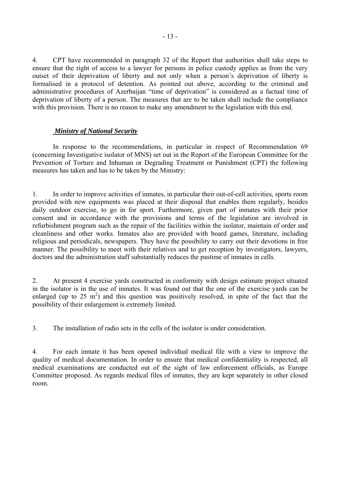4. CPT have recommended in paragraph 32 of the Report that authorities shall take steps to ensure that the right of access to a lawyer for persons in police custody applies as from the very outset of their deprivation of liberty and not only when a person's deprivation of liberty is formalised in a protocol of detention. As pointed out above, according to the criminal and administrative procedures of Azerbaijan "time of deprivation" is considered as a factual time of deprivation of liberty of a person. The measures that are to be taken shall include the compliance with this provision. There is no reason to make any amendment to the legislation with this end.

## *Ministry of National Security*

In response to the recommendations, in particular in respect of Recommendation 69 (concerning Investigative isolator of MNS) set out in the Report of the European Committee for the Prevention of Torture and Inhuman or Degrading Treatment or Punishment (CPT) the following measures has taken and has to be taken by the Ministry:

1. In order to improve activities of inmates, in particular their out-of-cell activities, sports room provided with new equipments was placed at their disposal that enables them regularly, besides daily outdoor exercise, to go in for sport. Furthermore, given part of inmates with their prior consent and in accordance with the provisions and terms of the legislation are involved in refurbishment program such as the repair of the facilities within the isolator, maintain of order and cleanliness and other works. Inmates also are provided with board games, literature, including religious and periodicals, newspapers. They have the possibility to carry out their devotions in free manner. The possibility to meet with their relatives and to get reception by investigators, lawyers, doctors and the administration staff substantially reduces the pastime of inmates in cells.

2. At present 4 exercise yards constructed in conformity with design estimate project situated in the isolator is in the use of inmates. It was found out that the one of the exercise yards can be enlarged (up to 25  $m^2$ ) and this question was positively resolved, in spite of the fact that the possibility of their enlargement is extremely limited.

3. The installation of radio sets in the cells of the isolator is under consideration.

4. For each inmate it has been opened individual medical file with a view to improve the quality of medical documentation. In order to ensure that medical confidentiality is respected, all medical examinations are conducted out of the sight of law enforcement officials, as Europe Committee proposed. As regards medical files of inmates, they are kept separately in other closed room.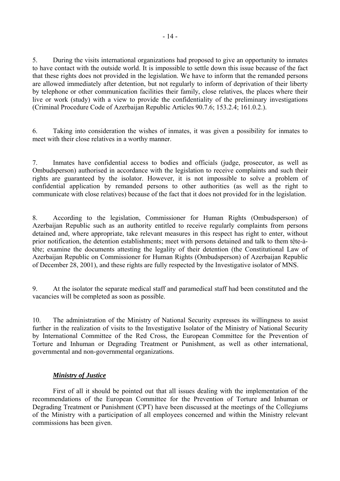5. During the visits international organizations had proposed to give an opportunity to inmates to have contact with the outside world. It is impossible to settle down this issue because of the fact that these rights does not provided in the legislation. We have to inform that the remanded persons are allowed immediately after detention, but not regularly to inform of deprivation of their liberty by telephone or other communication facilities their family, close relatives, the places where their live or work (study) with a view to provide the confidentiality of the preliminary investigations (Criminal Procedure Code of Azerbaijan Republic Articles 90.7.6; 153.2.4; 161.0.2.).

6. Taking into consideration the wishes of inmates, it was given a possibility for inmates to meet with their close relatives in a worthy manner.

7. Inmates have confidential access to bodies and officials (judge, prosecutor, as well as Ombudsperson) authorised in accordance with the legislation to receive complaints and such their rights are guaranteed by the isolator. However, it is not impossible to solve a problem of confidential application by remanded persons to other authorities (as well as the right to communicate with close relatives) because of the fact that it does not provided for in the legislation.

8. According to the legislation, Commissioner for Human Rights (Ombudsperson) of Azerbaijan Republic such as an authority entitled to receive regularly complaints from persons detained and, where appropriate, take relevant measures in this respect has right to enter, without prior notification, the detention establishments; meet with persons detained and talk to them tête-àtête; examine the documents attesting the legality of their detention (the Constitutional Law of Azerbaijan Republic on Commissioner for Human Rights (Ombudsperson) of Azerbaijan Republic of December 28, 2001), and these rights are fully respected by the Investigative isolator of MNS.

9. At the isolator the separate medical staff and paramedical staff had been constituted and the vacancies will be completed as soon as possible.

10. The administration of the Ministry of National Security expresses its willingness to assist further in the realization of visits to the Investigative Isolator of the Ministry of National Security by International Committee of the Red Cross, the European Committee for the Prevention of Torture and Inhuman or Degrading Treatment or Punishment, as well as other international, governmental and non-governmental organizations.

# *Ministry of Justice*

First of all it should be pointed out that all issues dealing with the implementation of the recommendations of the European Committee for the Prevention of Torture and Inhuman or Degrading Treatment or Punishment (CPT) have been discussed at the meetings of the Collegiums of the Ministry with a participation of all employees concerned and within the Ministry relevant commissions has been given.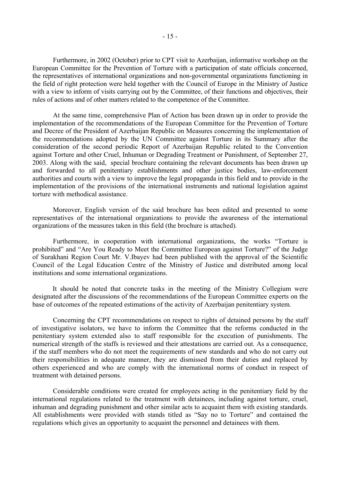Furthermore, in 2002 (October) prior to CPT visit to Azerbaijan, informative workshop on the European Committee for the Prevention of Torture with a participation of state officials concerned, the representatives of international organizations and non-governmental organizations functioning in the field of right protection were held together with the Council of Europe in the Ministry of Justice with a view to inform of visits carrying out by the Committee, of their functions and objectives, their rules of actions and of other matters related to the competence of the Committee.

At the same time, comprehensive Plan of Action has been drawn up in order to provide the implementation of the recommendations of the European Committee for the Prevention of Torture and Decree of the President of Azerbaijan Republic on Measures concerning the implementation of the recommendations adopted by the UN Committee against Torture in its Summary after the consideration of the second periodic Report of Azerbaijan Republic related to the Convention against Torture and other Cruel, Inhuman or Degrading Treatment or Punishment, of September 27, 2003. Along with the said, special brochure containing the relevant documents has been drawn up and forwarded to all penitentiary establishments and other justice bodies, law-enforcement authorities and courts with a view to improve the legal propaganda in this field and to provide in the implementation of the provisions of the international instruments and national legislation against torture with methodical assistance.

Moreover, English version of the said brochure has been edited and presented to some representatives of the international organizations to provide the awareness of the international organizations of the measures taken in this field (the brochure is attached).

Furthermore, in cooperation with international organizations, the works "Torture is prohibited" and "Are You Ready to Meet the Committee European against Torture?" of the Judge of Surakhani Region Court Mr. V.Ibayev had been published with the approval of the Scientific Council of the Legal Education Centre of the Ministry of Justice and distributed among local institutions and some international organizations.

It should be noted that concrete tasks in the meeting of the Ministry Collegium were designated after the discussions of the recommendations of the European Committee experts on the base of outcomes of the repeated estimations of the activity of Azerbaijan penitentiary system.

Concerning the CPT recommendations on respect to rights of detained persons by the staff of investigative isolators, we have to inform the Committee that the reforms conducted in the penitentiary system extended also to staff responsible for the execution of punishments. The numerical strength of the staffs is reviewed and their attestations are carried out. As a consequence, if the staff members who do not meet the requirements of new standards and who do not carry out their responsibilities in adequate manner, they are dismissed from their duties and replaced by others experienced and who are comply with the international norms of conduct in respect of treatment with detained persons.

Considerable conditions were created for employees acting in the penitentiary field by the international regulations related to the treatment with detainees, including against torture, cruel, inhuman and degrading punishment and other similar acts to acquaint them with existing standards. All establishments were provided with stands titled as "Say no to Torture" and contained the regulations which gives an opportunity to acquaint the personnel and detainees with them.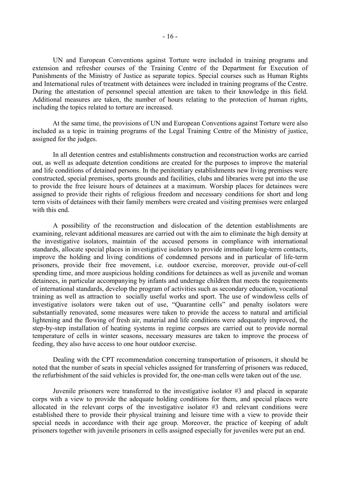UN and European Conventions against Torture were included in training programs and extension and refresher courses of the Training Centre of the Department for Execution of Punishments of the Ministry of Justice as separate topics. Special courses such as Human Rights and International rules of treatment with detainees were included in training programs of the Centre. During the attestation of personnel special attention are taken to their knowledge in this field. Additional measures are taken, the number of hours relating to the protection of human rights, including the topics related to torture are increased.

At the same time, the provisions of UN and European Conventions against Torture were also included as a topic in training programs of the Legal Training Centre of the Ministry of justice, assigned for the judges.

 In all detention centres and establishments construction and reconstruction works are carried out, as well as adequate detention conditions are created for the purposes to improve the material and life conditions of detained persons. In the penitentiary establishments new living premises were constructed, special premises, sports grounds and facilities, clubs and libraries were put into the use to provide the free leisure hours of detainees at a maximum. Worship places for detainees were assigned to provide their rights of religious freedom and necessary conditions for short and long term visits of detainees with their family members were created and visiting premises were enlarged with this end.

A possibility of the reconstruction and dislocation of the detention establishments are examining, relevant additional measures are carried out with the aim to eliminate the high density at the investigative isolators, maintain of the accused persons in compliance with international standards, allocate special places in investigative isolators to provide immediate long-term contacts, improve the holding and living conditions of condemned persons and in particular of life-term prisoners, provide their free movement, i.e. outdoor exercise, moreover, provide out-of-cell spending time, and more auspicious holding conditions for detainees as well as juvenile and woman detainees, in particular accompanying by infants and underage children that meets the requirements of international standards, develop the program of activities such as secondary education, vocational training as well as attraction to socially useful works and sport. The use of windowless cells of investigative isolators were taken out of use, "Quarantine cells" and penalty isolators were substantially renovated, some measures were taken to provide the access to natural and artificial lightening and the flowing of fresh air, material and life conditions were adequately improved, the step-by-step installation of heating systems in regime corpses are carried out to provide normal temperature of cells in winter seasons, necessary measures are taken to improve the process of feeding, they also have access to one hour outdoor exercise.

Dealing with the CPT recommendation concerning transportation of prisoners, it should be noted that the number of seats in special vehicles assigned for transferring of prisoners was reduced, the refurbishment of the said vehicles is provided for, the one-man cells were taken out of the use.

Juvenile prisoners were transferred to the investigative isolator #3 and placed in separate corps with a view to provide the adequate holding conditions for them, and special places were allocated in the relevant corps of the investigative isolator #3 and relevant conditions were established there to provide their physical training and leisure time with a view to provide their special needs in accordance with their age group. Moreover, the practice of keeping of adult prisoners together with juvenile prisoners in cells assigned especially for juveniles were put an end.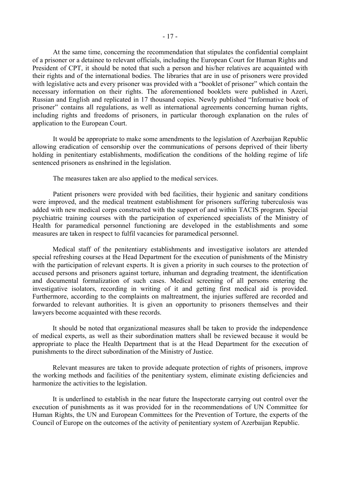At the same time, concerning the recommendation that stipulates the confidential complaint of a prisoner or a detainee to relevant officials, including the European Court for Human Rights and President of CPT, it should be noted that such a person and his/her relatives are acquainted with their rights and of the international bodies. The libraries that are in use of prisoners were provided with legislative acts and every prisoner was provided with a "booklet of prisoner" which contain the necessary information on their rights. The aforementioned booklets were published in Azeri, Russian and English and replicated in 17 thousand copies. Newly published "Informative book of prisoner" contains all regulations, as well as international agreements concerning human rights, including rights and freedoms of prisoners, in particular thorough explanation on the rules of application to the European Court.

It would be appropriate to make some amendments to the legislation of Azerbaijan Republic allowing eradication of censorship over the communications of persons deprived of their liberty holding in penitentiary establishments, modification the conditions of the holding regime of life sentenced prisoners as enshrined in the legislation.

The measures taken are also applied to the medical services.

Patient prisoners were provided with bed facilities, their hygienic and sanitary conditions were improved, and the medical treatment establishment for prisoners suffering tuberculosis was added with new medical corps constructed with the support of and within TACIS program. Special psychiatric training courses with the participation of experienced specialists of the Ministry of Health for paramedical personnel functioning are developed in the establishments and some measures are taken in respect to fulfil vacancies for paramedical personnel.

Medical staff of the penitentiary establishments and investigative isolators are attended special refreshing courses at the Head Department for the execution of punishments of the Ministry with the participation of relevant experts. It is given a priority in such courses to the protection of accused persons and prisoners against torture, inhuman and degrading treatment, the identification and documental formalization of such cases. Medical screening of all persons entering the investigative isolators, recording in writing of it and getting first medical aid is provided. Furthermore, according to the complaints on maltreatment, the injuries suffered are recorded and forwarded to relevant authorities. It is given an opportunity to prisoners themselves and their lawyers become acquainted with these records.

It should be noted that organizational measures shall be taken to provide the independence of medical experts, as well as their subordination matters shall be reviewed because it would be appropriate to place the Health Department that is at the Head Department for the execution of punishments to the direct subordination of the Ministry of Justice.

Relevant measures are taken to provide adequate protection of rights of prisoners, improve the working methods and facilities of the penitentiary system, eliminate existing deficiencies and harmonize the activities to the legislation.

It is underlined to establish in the near future the Inspectorate carrying out control over the execution of punishments as it was provided for in the recommendations of UN Committee for Human Rights, the UN and European Committees for the Prevention of Torture, the experts of the Council of Europe on the outcomes of the activity of penitentiary system of Azerbaijan Republic.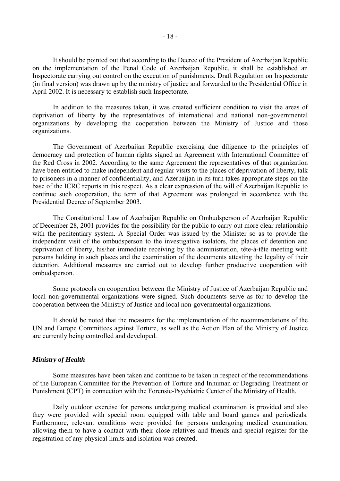It should be pointed out that according to the Decree of the President of Azerbaijan Republic on the implementation of the Penal Code of Azerbaijan Republic, it shall be established an Inspectorate carrying out control on the execution of punishments. Draft Regulation on Inspectorate (in final version) was drawn up by the ministry of justice and forwarded to the Presidential Office in April 2002. It is necessary to establish such Inspectorate.

In addition to the measures taken, it was created sufficient condition to visit the areas of deprivation of liberty by the representatives of international and national non-governmental organizations by developing the cooperation between the Ministry of Justice and those organizations.

The Government of Azerbaijan Republic exercising due diligence to the principles of democracy and protection of human rights signed an Agreement with International Committee of the Red Cross in 2002. According to the same Agreement the representatives of that organization have been entitled to make independent and regular visits to the places of deprivation of liberty, talk to prisoners in a manner of confidentiality, and Azerbaijan in its turn takes appropriate steps on the base of the ICRC reports in this respect. As a clear expression of the will of Azerbaijan Republic to continue such cooperation, the term of that Agreement was prolonged in accordance with the Presidential Decree of September 2003.

The Constitutional Law of Azerbaijan Republic on Ombudsperson of Azerbaijan Republic of December 28, 2001 provides for the possibility for the public to carry out more clear relationship with the penitentiary system. A Special Order was issued by the Minister so as to provide the independent visit of the ombudsperson to the investigative isolators, the places of detention and deprivation of liberty, his/her immediate receiving by the administration, tête-à-tête meeting with persons holding in such places and the examination of the documents attesting the legality of their detention. Additional measures are carried out to develop further productive cooperation with ombudsperson.

Some protocols on cooperation between the Ministry of Justice of Azerbaijan Republic and local non-governmental organizations were signed. Such documents serve as for to develop the cooperation between the Ministry of Justice and local non-governmental organizations.

It should be noted that the measures for the implementation of the recommendations of the UN and Europe Committees against Torture, as well as the Action Plan of the Ministry of Justice are currently being controlled and developed.

#### *Ministry of Health*

Some measures have been taken and continue to be taken in respect of the recommendations of the European Committee for the Prevention of Torture and Inhuman or Degrading Treatment or Punishment (CPT) in connection with the Forensic-Psychiatric Center of the Ministry of Health.

Daily outdoor exercise for persons undergoing medical examination is provided and also they were provided with special room equipped with table and board games and periodicals. Furthermore, relevant conditions were provided for persons undergoing medical examination, allowing them to have a contact with their close relatives and friends and special register for the registration of any physical limits and isolation was created.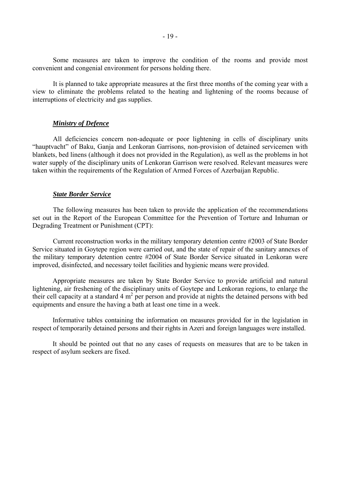Some measures are taken to improve the condition of the rooms and provide most convenient and congenial environment for persons holding there.

It is planned to take appropriate measures at the first three months of the coming year with a view to eliminate the problems related to the heating and lightening of the rooms because of interruptions of electricity and gas supplies.

#### *Ministry of Defence*

All deficiencies concern non-adequate or poor lightening in cells of disciplinary units "hauptvacht" of Baku, Ganja and Lenkoran Garrisons, non-provision of detained servicemen with blankets, bed linens (although it does not provided in the Regulation), as well as the problems in hot water supply of the disciplinary units of Lenkoran Garrison were resolved. Relevant measures were taken within the requirements of the Regulation of Armed Forces of Azerbaijan Republic.

#### *State Border Service*

The following measures has been taken to provide the application of the recommendations set out in the Report of the European Committee for the Prevention of Torture and Inhuman or Degrading Treatment or Punishment (CPT):

 Current reconstruction works in the military temporary detention centre #2003 of State Border Service situated in Goytepe region were carried out, and the state of repair of the sanitary annexes of the military temporary detention centre #2004 of State Border Service situated in Lenkoran were improved, disinfected, and necessary toilet facilities and hygienic means were provided.

Appropriate measures are taken by State Border Service to provide artificial and natural lightening, air freshening of the disciplinary units of Goytepe and Lenkoran regions, to enlarge the their cell capacity at a standard  $4 \text{ m}^2$  per person and provide at nights the detained persons with bed equipments and ensure the having a bath at least one time in a week.

Informative tables containing the information on measures provided for in the legislation in respect of temporarily detained persons and their rights in Azeri and foreign languages were installed.

It should be pointed out that no any cases of requests on measures that are to be taken in respect of asylum seekers are fixed.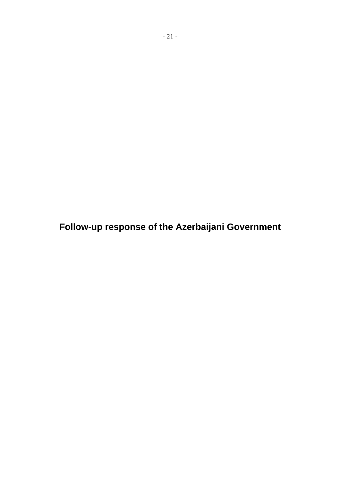**Follow-up response of the Azerbaijani Government**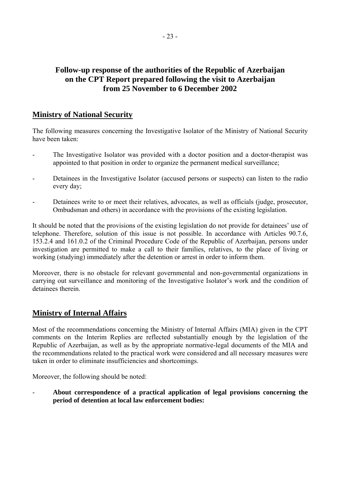# **Follow-up response of the authorities of the Republic of Azerbaijan on the CPT Report prepared following the visit to Azerbaijan from 25 November to 6 December 2002**

# **Ministry of National Security**

The following measures concerning the Investigative Isolator of the Ministry of National Security have been taken:

- The Investigative Isolator was provided with a doctor position and a doctor-therapist was appointed to that position in order to organize the permanent medical surveillance;
- Detainees in the Investigative Isolator (accused persons or suspects) can listen to the radio every day;
- Detainees write to or meet their relatives, advocates, as well as officials (judge, prosecutor, Ombudsman and others) in accordance with the provisions of the existing legislation.

It should be noted that the provisions of the existing legislation do not provide for detainees' use of telephone. Therefore, solution of this issue is not possible. In accordance with Articles 90.7.6, 153.2.4 and 161.0.2 of the Criminal Procedure Code of the Republic of Azerbaijan, persons under investigation are permitted to make a call to their families, relatives, to the place of living or working (studying) immediately after the detention or arrest in order to inform them.

Moreover, there is no obstacle for relevant governmental and non-governmental organizations in carrying out surveillance and monitoring of the Investigative Isolator's work and the condition of detainees therein.

# **Ministry of Internal Affairs**

Most of the recommendations concerning the Ministry of Internal Affairs (MIA) given in the CPT comments on the Interim Replies are reflected substantially enough by the legislation of the Republic of Azerbaijan, as well as by the appropriate normative-legal documents of the MIA and the recommendations related to the practical work were considered and all necessary measures were taken in order to eliminate insufficiencies and shortcomings.

Moreover, the following should be noted:

- **About correspondence of a practical application of legal provisions concerning the period of detention at local law enforcement bodies:**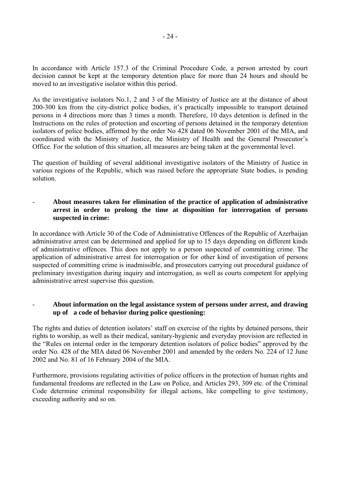In accordance with Article 157.3 of the Criminal Procedure Code, a person arrested by court decision cannot be kept at the temporary detention place for more than 24 hours and should be moved to an investigative isolator within this period.

As the investigative isolators No.1, 2 and 3 of the Ministry of Justice are at the distance of about 200-300 km from the city-district police bodies, itís practically impossible to transport detained persons in 4 directions more than 3 times a month. Therefore, 10 days detention is defined in the Instructions on the rules of protection and escorting of persons detained in the temporary detention isolators of police bodies, affirmed by the order No 428 dated 06 November 2001 of the MIA, and coordinated with the Ministry of Justice, the Ministry of Health and the General Prosecutor's Office. For the solution of this situation, all measures are being taken at the governmental level.

The question of building of several additional investigative isolators of the Ministry of Justice in various regions of the Republic, which was raised before the appropriate State bodies, is pending solution.

## - **About measures taken for elimination of the practice of application of administrative arrest in order to prolong the time at disposition for interrogation of persons suspected in crime:**

In accordance with Article 30 of the Code of Administrative Offences of the Republic of Azerbaijan administrative arrest can be determined and applied for up to 15 days depending on different kinds of administrative offences. This does not apply to a person suspected of committing crime. The application of administrative arrest for interrogation or for other kind of investigation of persons suspected of committing crime is inadmissible, and prosecutors carrying out procedural guidance of preliminary investigation during inquiry and interrogation, as well as courts competent for applying administrative arrest supervise this question.

# - **About information on the legal assistance system of persons under arrest, and drawing up of a code of behavior during police questioning:**

The rights and duties of detention isolators' staff on exercise of the rights by detained persons, their rights to worship, as well as their medical, sanitary-hygienic and everyday provision are reflected in the "Rules on internal order in the temporary detention isolators of police bodies" approved by the order No. 428 of the MIA dated 06 November 2001 and amended by the orders No. 224 of 12 June 2002 and No. 81 of 16 February 2004 of the MIA.

Furthermore, provisions regulating activities of police officers in the protection of human rights and fundamental freedoms are reflected in the Law on Police, and Articles 293, 309 etc. of the Criminal Code determine criminal responsibility for illegal actions, like compelling to give testimony, exceeding authority and so on.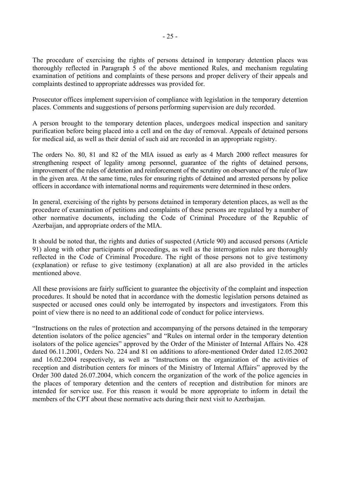The procedure of exercising the rights of persons detained in temporary detention places was thoroughly reflected in Paragraph 5 of the above mentioned Rules, and mechanism regulating examination of petitions and complaints of these persons and proper delivery of their appeals and complaints destined to appropriate addresses was provided for.

Prosecutor offices implement supervision of compliance with legislation in the temporary detention places. Comments and suggestions of persons performing supervision are duly recorded.

A person brought to the temporary detention places, undergoes medical inspection and sanitary purification before being placed into a cell and on the day of removal. Appeals of detained persons for medical aid, as well as their denial of such aid are recorded in an appropriate registry.

The orders No. 80, 81 and 82 of the MIA issued as early as 4 March 2000 reflect measures for strengthening respect of legality among personnel, guarantee of the rights of detained persons, improvement of the rules of detention and reinforcement of the scrutiny on observance of the rule of law in the given area. At the same time, rules for ensuring rights of detained and arrested persons by police officers in accordance with international norms and requirements were determined in these orders.

In general, exercising of the rights by persons detained in temporary detention places, as well as the procedure of examination of petitions and complaints of these persons are regulated by a number of other normative documents, including the Code of Criminal Procedure of the Republic of Azerbaijan, and appropriate orders of the MIA.

It should be noted that, the rights and duties of suspected (Article 90) and accused persons (Article 91) along with other participants of proceedings, as well as the interrogation rules are thoroughly reflected in the Code of Criminal Procedure. The right of those persons not to give testimony (explanation) or refuse to give testimony (explanation) at all are also provided in the articles mentioned above.

All these provisions are fairly sufficient to guarantee the objectivity of the complaint and inspection procedures. It should be noted that in accordance with the domestic legislation persons detained as suspected or accused ones could only be interrogated by inspectors and investigators. From this point of view there is no need to an additional code of conduct for police interviews.

ìInstructions on the rules of protection and accompanying of the persons detained in the temporary detention isolators of the police agencies" and "Rules on internal order in the temporary detention isolators of the police agencies" approved by the Order of the Minister of Internal Affairs No. 428 dated 06.11.2001, Orders No. 224 and 81 on additions to afore-mentioned Order dated 12.05.2002 and 16.02.2004 respectively, as well as "Instructions on the organization of the activities of reception and distribution centers for minors of the Ministry of Internal Affairs" approved by the Order 300 dated 26.07.2004, which concern the organization of the work of the police agencies in the places of temporary detention and the centers of reception and distribution for minors are intended for service use. For this reason it would be more appropriate to inform in detail the members of the CPT about these normative acts during their next visit to Azerbaijan.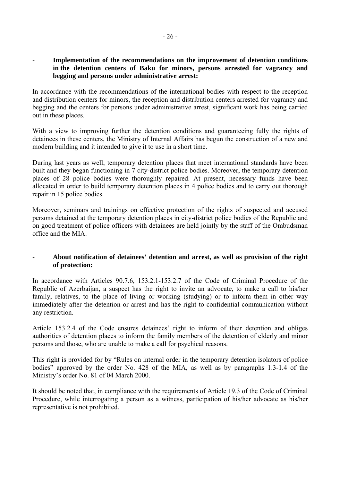## - **Implementation of the recommendations on the improvement of detention conditions in the detention centers of Baku for minors, persons arrested for vagrancy and begging and persons under administrative arrest:**

In accordance with the recommendations of the international bodies with respect to the reception and distribution centers for minors, the reception and distribution centers arrested for vagrancy and begging and the centers for persons under administrative arrest, significant work has being carried out in these places.

With a view to improving further the detention conditions and guaranteeing fully the rights of detainees in these centers, the Ministry of Internal Affairs has begun the construction of a new and modern building and it intended to give it to use in a short time.

During last years as well, temporary detention places that meet international standards have been built and they began functioning in 7 city-district police bodies. Moreover, the temporary detention places of 28 police bodies were thoroughly repaired. At present, necessary funds have been allocated in order to build temporary detention places in 4 police bodies and to carry out thorough repair in 15 police bodies.

Moreover, seminars and trainings on effective protection of the rights of suspected and accused persons detained at the temporary detention places in city-district police bodies of the Republic and on good treatment of police officers with detainees are held jointly by the staff of the Ombudsman office and the MIA.

# - **About notification of detainees' detention and arrest, as well as provision of the right of protection:**

In accordance with Articles 90.7.6, 153.2.1-153.2.7 of the Code of Criminal Procedure of the Republic of Azerbaijan, a suspect has the right to invite an advocate, to make a call to his/her family, relatives, to the place of living or working (studying) or to inform them in other way immediately after the detention or arrest and has the right to confidential communication without any restriction.

Article 153.2.4 of the Code ensures detainees' right to inform of their detention and obliges authorities of detention places to inform the family members of the detention of elderly and minor persons and those, who are unable to make a call for psychical reasons.

This right is provided for by "Rules on internal order in the temporary detention isolators of police bodies" approved by the order No. 428 of the MIA, as well as by paragraphs 1.3-1.4 of the Ministry's order No. 81 of 04 March 2000.

It should be noted that, in compliance with the requirements of Article 19.3 of the Code of Criminal Procedure, while interrogating a person as a witness, participation of his/her advocate as his/her representative is not prohibited.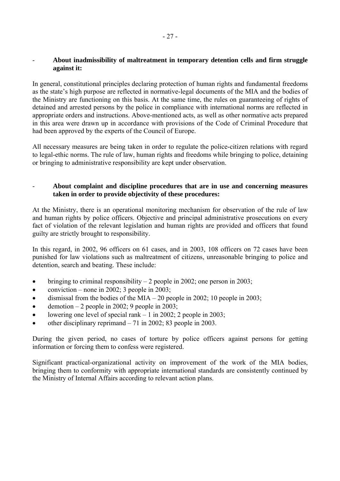### - **About inadmissibility of maltreatment in temporary detention cells and firm struggle against it:**

In general, constitutional principles declaring protection of human rights and fundamental freedoms as the state's high purpose are reflected in normative-legal documents of the MIA and the bodies of the Ministry are functioning on this basis. At the same time, the rules on guaranteeing of rights of detained and arrested persons by the police in compliance with international norms are reflected in appropriate orders and instructions. Above-mentioned acts, as well as other normative acts prepared in this area were drawn up in accordance with provisions of the Code of Criminal Procedure that had been approved by the experts of the Council of Europe.

All necessary measures are being taken in order to regulate the police-citizen relations with regard to legal-ethic norms. The rule of law, human rights and freedoms while bringing to police, detaining or bringing to administrative responsibility are kept under observation.

# - **About complaint and discipline procedures that are in use and concerning measures taken in order to provide objectivity of these procedures:**

At the Ministry, there is an operational monitoring mechanism for observation of the rule of law and human rights by police officers. Objective and principal administrative prosecutions on every fact of violation of the relevant legislation and human rights are provided and officers that found guilty are strictly brought to responsibility.

In this regard, in 2002, 96 officers on 61 cases, and in 2003, 108 officers on 72 cases have been punished for law violations such as maltreatment of citizens, unreasonable bringing to police and detention, search and beating. These include:

- bringing to criminal responsibility  $-2$  people in 2002; one person in 2003;
- conviction none in 2002; 3 people in 2003;
- dismissal from the bodies of the MIA  $-$  20 people in 2002; 10 people in 2003;
- demotion  $-2$  people in 2002; 9 people in 2003;
- lowering one level of special rank  $-1$  in 2002; 2 people in 2003;
- other disciplinary reprimand  $-71$  in 2002; 83 people in 2003.

During the given period, no cases of torture by police officers against persons for getting information or forcing them to confess were registered.

Significant practical-organizational activity on improvement of the work of the MIA bodies, bringing them to conformity with appropriate international standards are consistently continued by the Ministry of Internal Affairs according to relevant action plans.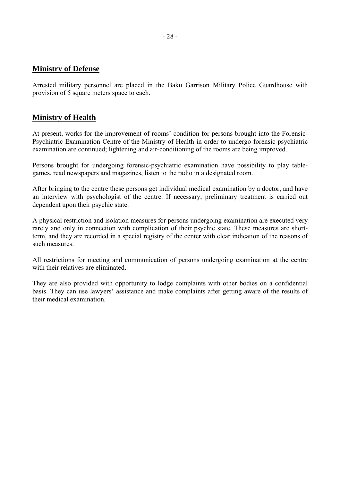# **Ministry of Defense**

Arrested military personnel are placed in the Baku Garrison Military Police Guardhouse with provision of 5 square meters space to each.

# **Ministry of Health**

At present, works for the improvement of rooms' condition for persons brought into the Forensic-Psychiatric Examination Centre of the Ministry of Health in order to undergo forensic-psychiatric examination are continued; lightening and air-conditioning of the rooms are being improved.

Persons brought for undergoing forensic-psychiatric examination have possibility to play tablegames, read newspapers and magazines, listen to the radio in a designated room.

After bringing to the centre these persons get individual medical examination by a doctor, and have an interview with psychologist of the centre. If necessary, preliminary treatment is carried out dependent upon their psychic state.

A physical restriction and isolation measures for persons undergoing examination are executed very rarely and only in connection with complication of their psychic state. These measures are shortterm, and they are recorded in a special registry of the center with clear indication of the reasons of such measures.

All restrictions for meeting and communication of persons undergoing examination at the centre with their relatives are eliminated.

They are also provided with opportunity to lodge complaints with other bodies on a confidential basis. They can use lawyers' assistance and make complaints after getting aware of the results of their medical examination.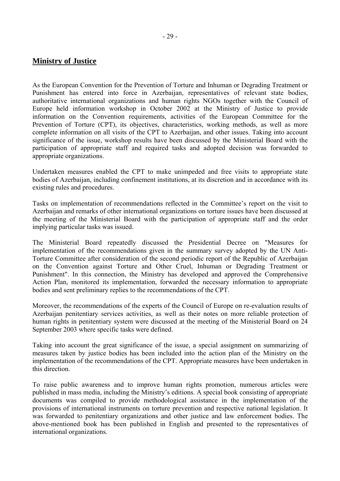# **Ministry of Justice**

As the European Convention for the Prevention of Torture and Inhuman or Degrading Treatment or Punishment has entered into force in Azerbaijan, representatives of relevant state bodies, authoritative international organizations and human rights NGOs together with the Council of Europe held information workshop in October 2002 at the Ministry of Justice to provide information on the Convention requirements, activities of the European Committee for the Prevention of Torture (CPT), its objectives, characteristics, working methods, as well as more complete information on all visits of the CPT to Azerbaijan, and other issues. Taking into account significance of the issue, workshop results have been discussed by the Ministerial Board with the participation of appropriate staff and required tasks and adopted decision was forwarded to appropriate organizations.

Undertaken measures enabled the CPT to make unimpeded and free visits to appropriate state bodies of Azerbaijan, including confinement institutions, at its discretion and in accordance with its existing rules and procedures.

Tasks on implementation of recommendations reflected in the Committee's report on the visit to Azerbaijan and remarks of other international organizations on torture issues have been discussed at the meeting of the Ministerial Board with the participation of appropriate staff and the order implying particular tasks was issued.

The Ministerial Board repeatedly discussed the Presidential Decree on "Measures for implementation of the recommendations given in the summary survey adopted by the UN Anti-Torture Committee after consideration of the second periodic report of the Republic of Azerbaijan on the Convention against Torture and Other Cruel, Inhuman or Degrading Treatment or Punishment". In this connection, the Ministry has developed and approved the Comprehensive Action Plan, monitored its implementation, forwarded the necessary information to appropriate bodies and sent preliminary replies to the recommendations of the CPT.

Moreover, the recommendations of the experts of the Council of Europe on re-evaluation results of Azerbaijan penitentiary services activities, as well as their notes on more reliable protection of human rights in penitentiary system were discussed at the meeting of the Ministerial Board on 24 September 2003 where specific tasks were defined.

Taking into account the great significance of the issue, a special assignment on summarizing of measures taken by justice bodies has been included into the action plan of the Ministry on the implementation of the recommendations of the CPT. Appropriate measures have been undertaken in this direction.

To raise public awareness and to improve human rights promotion, numerous articles were published in mass media, including the Ministry's editions. A special book consisting of appropriate documents was compiled to provide methodological assistance in the implementation of the provisions of international instruments on torture prevention and respective national legislation. It was forwarded to penitentiary organizations and other justice and law enforcement bodies. The above-mentioned book has been published in English and presented to the representatives of international organizations.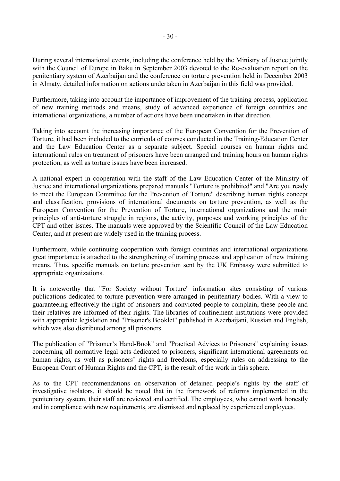During several international events, including the conference held by the Ministry of Justice jointly with the Council of Europe in Baku in September 2003 devoted to the Re-evaluation report on the penitentiary system of Azerbaijan and the conference on torture prevention held in December 2003 in Almaty, detailed information on actions undertaken in Azerbaijan in this field was provided.

Furthermore, taking into account the importance of improvement of the training process, application of new training methods and means, study of advanced experience of foreign countries and international organizations, a number of actions have been undertaken in that direction.

Taking into account the increasing importance of the European Convention for the Prevention of Torture, it had been included to the curricula of courses conducted in the Training-Education Center and the Law Education Center as a separate subject. Special courses on human rights and international rules on treatment of prisoners have been arranged and training hours on human rights protection, as well as torture issues have been increased.

A national expert in cooperation with the staff of the Law Education Center of the Ministry of Justice and international organizations prepared manuals "Torture is prohibited" and "Are you ready to meet the European Committee for the Prevention of Torture" describing human rights concept and classification, provisions of international documents on torture prevention, as well as the European Convention for the Prevention of Torture, international organizations and the main principles of anti-torture struggle in regions, the activity, purposes and working principles of the CPT and other issues. The manuals were approved by the Scientific Council of the Law Education Center, and at present are widely used in the training process.

Furthermore, while continuing cooperation with foreign countries and international organizations great importance is attached to the strengthening of training process and application of new training means. Thus, specific manuals on torture prevention sent by the UK Embassy were submitted to appropriate organizations.

It is noteworthy that "For Society without Torture" information sites consisting of various publications dedicated to torture prevention were arranged in penitentiary bodies. With a view to guaranteeing effectively the right of prisoners and convicted people to complain, these people and their relatives are informed of their rights. The libraries of confinement institutions were provided with appropriate legislation and "Prisoner's Booklet" published in Azerbaijani, Russian and English, which was also distributed among all prisoners.

The publication of "Prisoner's Hand-Book" and "Practical Advices to Prisoners" explaining issues concerning all normative legal acts dedicated to prisoners, significant international agreements on human rights, as well as prisoners' rights and freedoms, especially rules on addressing to the European Court of Human Rights and the CPT, is the result of the work in this sphere.

As to the CPT recommendations on observation of detained people's rights by the staff of investigative isolators, it should be noted that in the framework of reforms implemented in the penitentiary system, their staff are reviewed and certified. The employees, who cannot work honestly and in compliance with new requirements, are dismissed and replaced by experienced employees.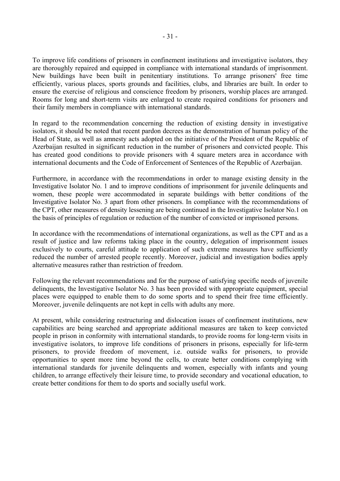To improve life conditions of prisoners in confinement institutions and investigative isolators, they are thoroughly repaired and equipped in compliance with international standards of imprisonment. New buildings have been built in penitentiary institutions. To arrange prisoners' free time efficiently, various places, sports grounds and facilities, clubs, and libraries are built. In order to ensure the exercise of religious and conscience freedom by prisoners, worship places are arranged. Rooms for long and short-term visits are enlarged to create required conditions for prisoners and their family members in compliance with international standards.

In regard to the recommendation concerning the reduction of existing density in investigative isolators, it should be noted that recent pardon decrees as the demonstration of human policy of the Head of State, as well as amnesty acts adopted on the initiative of the President of the Republic of Azerbaijan resulted in significant reduction in the number of prisoners and convicted people. This has created good conditions to provide prisoners with 4 square meters area in accordance with international documents and the Code of Enforcement of Sentences of the Republic of Azerbaijan.

Furthermore, in accordance with the recommendations in order to manage existing density in the Investigative Isolator No. 1 and to improve conditions of imprisonment for juvenile delinquents and women, these people were accommodated in separate buildings with better conditions of the Investigative Isolator No. 3 apart from other prisoners. In compliance with the recommendations of the CPT, other measures of density lessening are being continued in the Investigative Isolator No.1 on the basis of principles of regulation or reduction of the number of convicted or imprisoned persons.

In accordance with the recommendations of international organizations, as well as the CPT and as a result of justice and law reforms taking place in the country, delegation of imprisonment issues exclusively to courts, careful attitude to application of such extreme measures have sufficiently reduced the number of arrested people recently. Moreover, judicial and investigation bodies apply alternative measures rather than restriction of freedom.

Following the relevant recommendations and for the purpose of satisfying specific needs of juvenile delinquents, the Investigative Isolator No. 3 has been provided with appropriate equipment, special places were equipped to enable them to do some sports and to spend their free time efficiently. Moreover, juvenile delinquents are not kept in cells with adults any more.

At present, while considering restructuring and dislocation issues of confinement institutions, new capabilities are being searched and appropriate additional measures are taken to keep convicted people in prison in conformity with international standards, to provide rooms for long-term visits in investigative isolators, to improve life conditions of prisoners in prisons, especially for life-term prisoners, to provide freedom of movement, i.e. outside walks for prisoners, to provide opportunities to spent more time beyond the cells, to create better conditions complying with international standards for juvenile delinquents and women, especially with infants and young children, to arrange effectively their leisure time, to provide secondary and vocational education, to create better conditions for them to do sports and socially useful work.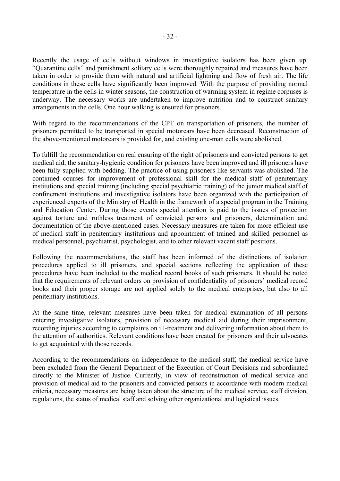Recently the usage of cells without windows in investigative isolators has been given up. ìQuarantine cellsî and punishment solitary cells were thoroughly repaired and measures have been taken in order to provide them with natural and artificial lightning and flow of fresh air. The life conditions in these cells have significantly been improved. With the purpose of providing normal temperature in the cells in winter seasons, the construction of warming system in regime corpuses is underway. The necessary works are undertaken to improve nutrition and to construct sanitary arrangements in the cells. One hour walking is ensured for prisoners.

With regard to the recommendations of the CPT on transportation of prisoners, the number of prisoners permitted to be transported in special motorcars have been decreased. Reconstruction of the above-mentioned motorcars is provided for, and existing one-man cells were abolished.

To fulfill the recommendation on real ensuring of the right of prisoners and convicted persons to get medical aid, the sanitary-hygienic condition for prisoners have been improved and ill prisoners have been fully supplied with bedding. The practice of using prisoners like servants was abolished. The continued courses for improvement of professional skill for the medical staff of penitentiary institutions and special training (including special psychiatric training) of the junior medical staff of confinement institutions and investigative isolators have been organized with the participation of experienced experts of the Ministry of Health in the framework of a special program in the Training and Education Center. During those events special attention is paid to the issues of protection against torture and ruthless treatment of convicted persons and prisoners, determination and documentation of the above-mentioned cases. Necessary measures are taken for more efficient use of medical staff in penitentiary institutions and appointment of trained and skilled personnel as medical personnel, psychiatrist, psychologist, and to other relevant vacant staff positions.

Following the recommendations, the staff has been informed of the distinctions of isolation procedures applied to ill prisoners, and special sections reflecting the application of these procedures have been included to the medical record books of such prisoners. It should be noted that the requirements of relevant orders on provision of confidentiality of prisoners' medical record books and their proper storage are not applied solely to the medical enterprises, but also to all penitentiary institutions.

At the same time, relevant measures have been taken for medical examination of all persons entering investigative isolators, provision of necessary medical aid during their imprisonment, recording injuries according to complaints on ill-treatment and delivering information about them to the attention of authorities. Relevant conditions have been created for prisoners and their advocates to get acquainted with those records.

According to the recommendations on independence to the medical staff, the medical service have been excluded from the General Department of the Execution of Court Decisions and subordinated directly to the Minister of Justice. Currently, in view of reconstruction of medical service and provision of medical aid to the prisoners and convicted persons in accordance with modern medical criteria, necessary measures are being taken about the structure of the medical service, staff division, regulations, the status of medical staff and solving other organizational and logistical issues.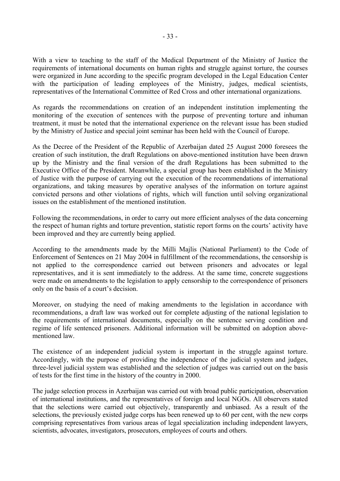With a view to teaching to the staff of the Medical Department of the Ministry of Justice the requirements of international documents on human rights and struggle against torture, the courses were organized in June according to the specific program developed in the Legal Education Center with the participation of leading employees of the Ministry, judges, medical scientists, representatives of the International Committee of Red Cross and other international organizations.

As regards the recommendations on creation of an independent institution implementing the monitoring of the execution of sentences with the purpose of preventing torture and inhuman treatment, it must be noted that the international experience on the relevant issue has been studied by the Ministry of Justice and special joint seminar has been held with the Council of Europe.

As the Decree of the President of the Republic of Azerbaijan dated 25 August 2000 foresees the creation of such institution, the draft Regulations on above-mentioned institution have been drawn up by the Ministry and the final version of the draft Regulations has been submitted to the Executive Office of the President. Meanwhile, a special group has been established in the Ministry of Justice with the purpose of carrying out the execution of the recommendations of international organizations, and taking measures by operative analyses of the information on torture against convicted persons and other violations of rights, which will function until solving organizational issues on the establishment of the mentioned institution.

Following the recommendations, in order to carry out more efficient analyses of the data concerning the respect of human rights and torture prevention, statistic report forms on the courts' activity have been improved and they are currently being applied.

According to the amendments made by the Milli Majlis (National Parliament) to the Code of Enforcement of Sentences on 21 May 2004 in fulfillment of the recommendations, the censorship is not applied to the correspondence carried out between prisoners and advocates or legal representatives, and it is sent immediately to the address. At the same time, concrete suggestions were made on amendments to the legislation to apply censorship to the correspondence of prisoners only on the basis of a court's decision.

Moreover, on studying the need of making amendments to the legislation in accordance with recommendations, a draft law was worked out for complete adjusting of the national legislation to the requirements of international documents, especially on the sentence serving condition and regime of life sentenced prisoners. Additional information will be submitted on adoption abovementioned law.

The existence of an independent judicial system is important in the struggle against torture. Accordingly, with the purpose of providing the independence of the judicial system and judges, three-level judicial system was established and the selection of judges was carried out on the basis of tests for the first time in the history of the country in 2000.

The judge selection process in Azerbaijan was carried out with broad public participation, observation of international institutions, and the representatives of foreign and local NGOs. All observers stated that the selections were carried out objectively, transparently and unbiased. As a result of the selections, the previously existed judge corps has been renewed up to 60 per cent, with the new corps comprising representatives from various areas of legal specialization including independent lawyers, scientists, advocates, investigators, prosecutors, employees of courts and others.